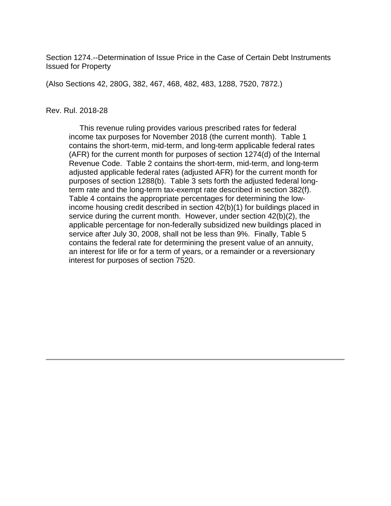Section 1274.--Determination of Issue Price in the Case of Certain Debt Instruments Issued for Property

(Also Sections 42, 280G, 382, 467, 468, 482, 483, 1288, 7520, 7872.)

#### Rev. Rul. 2018-28

 This revenue ruling provides various prescribed rates for federal income tax purposes for November 2018 (the current month). Table 1 contains the short-term, mid-term, and long-term applicable federal rates (AFR) for the current month for purposes of section 1274(d) of the Internal Revenue Code. Table 2 contains the short-term, mid-term, and long-term adjusted applicable federal rates (adjusted AFR) for the current month for purposes of section 1288(b). Table 3 sets forth the adjusted federal longterm rate and the long-term tax-exempt rate described in section 382(f). Table 4 contains the appropriate percentages for determining the lowincome housing credit described in section 42(b)(1) for buildings placed in service during the current month. However, under section 42(b)(2), the applicable percentage for non-federally subsidized new buildings placed in service after July 30, 2008, shall not be less than 9%. Finally, Table 5 contains the federal rate for determining the present value of an annuity, an interest for life or for a term of years, or a remainder or a reversionary interest for purposes of section 7520.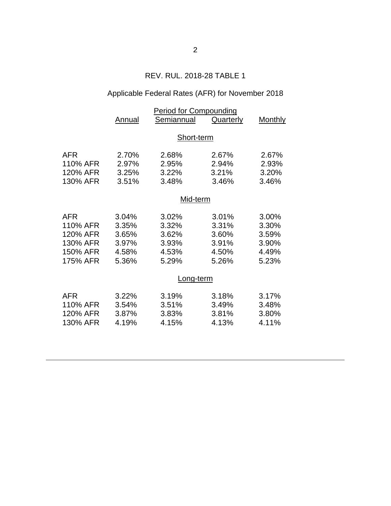## REV. RUL. 2018-28 TABLE 1

# Applicable Federal Rates (AFR) for November 2018

|          | <b>Period for Compounding</b> |            |           |                |  |  |
|----------|-------------------------------|------------|-----------|----------------|--|--|
|          | Annual                        | Semiannual | Quarterly | <b>Monthly</b> |  |  |
|          |                               |            |           |                |  |  |
|          | Short-term                    |            |           |                |  |  |
| AFR      | 2.70%                         | 2.68%      | 2.67%     | 2.67%          |  |  |
| 110% AFR | 2.97%                         | 2.95%      | 2.94%     | 2.93%          |  |  |
| 120% AFR | 3.25%                         | 3.22%      | 3.21%     | 3.20%          |  |  |
| 130% AFR | 3.51%                         | 3.48%      | 3.46%     | 3.46%          |  |  |
|          |                               |            |           |                |  |  |
|          |                               | Mid-term   |           |                |  |  |
| AFR      | 3.04%                         | 3.02%      | 3.01%     | 3.00%          |  |  |
| 110% AFR | 3.35%                         | 3.32%      | 3.31%     | 3.30%          |  |  |
| 120% AFR | 3.65%                         | 3.62%      | 3.60%     | 3.59%          |  |  |
| 130% AFR | 3.97%                         | 3.93%      | 3.91%     | 3.90%          |  |  |
| 150% AFR | 4.58%                         | 4.53%      | 4.50%     | 4.49%          |  |  |
| 175% AFR | 5.36%                         | 5.29%      | 5.26%     | 5.23%          |  |  |
|          |                               |            |           |                |  |  |
|          | Long-term                     |            |           |                |  |  |
| AFR      | 3.22%                         | 3.19%      | 3.18%     | 3.17%          |  |  |
| 110% AFR | 3.54%                         | 3.51%      | 3.49%     | 3.48%          |  |  |
| 120% AFR | 3.87%                         | 3.83%      | 3.81%     | 3.80%          |  |  |
| 130% AFR | 4.19%                         | 4.15%      | 4.13%     | 4.11%          |  |  |
|          |                               |            |           |                |  |  |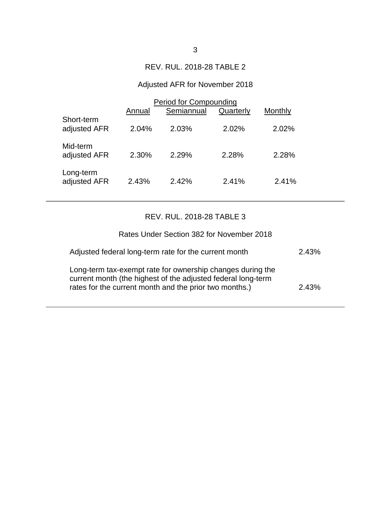### REV. RUL. 2018-28 TABLE 2

## Adjusted AFR for November 2018

|                            | Period for Compounding |            |           |         |  |
|----------------------------|------------------------|------------|-----------|---------|--|
|                            | Annual                 | Semiannual | Quarterly | Monthly |  |
| Short-term<br>adjusted AFR | 2.04%                  | 2.03%      | 2.02%     | 2.02%   |  |
| Mid-term<br>adjusted AFR   | 2.30%                  | 2.29%      | 2.28%     | 2.28%   |  |
| Long-term<br>adjusted AFR  | 2.43%                  | 2.42%      | 2.41%     | 2.41%   |  |

# REV. RUL. 2018-28 TABLE 3

| Rates Under Section 382 for November 2018                                                                                                                                            |       |
|--------------------------------------------------------------------------------------------------------------------------------------------------------------------------------------|-------|
| Adjusted federal long-term rate for the current month                                                                                                                                | 2.43% |
| Long-term tax-exempt rate for ownership changes during the<br>current month (the highest of the adjusted federal long-term<br>rates for the current month and the prior two months.) | 2.43% |